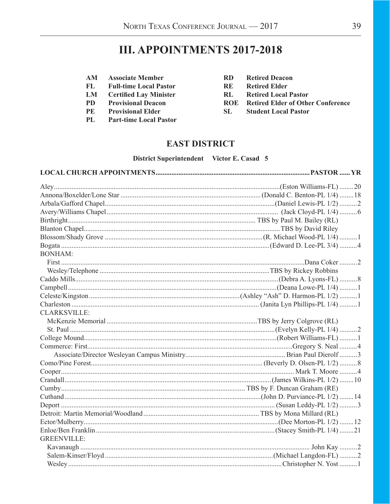# **III. APPOINTMENTS 2017-2018**

- AM **Associate Member**
- $FL$ **Full-time Local Pastor**
- $LM$ **Certified Lay Minister**
- **PD Provisional Deacon**
- PE **Provisional Elder**
- $PL$ **Part-time Local Pastor**
- $RD$ **Retired Deacon**
- **RE Retired Elder**
- **Retired Local Pastor**  $RL$
- **ROE Retired Elder of Other Conference**
- $SL$ **Student Local Pastor**

### **EAST DISTRICT**

#### District Superintendent Victor E. Casad 5

| <b>BONHAM:</b>      |  |
|---------------------|--|
|                     |  |
|                     |  |
|                     |  |
|                     |  |
|                     |  |
|                     |  |
| <b>CLARKSVILLE:</b> |  |
|                     |  |
|                     |  |
|                     |  |
|                     |  |
|                     |  |
|                     |  |
|                     |  |
|                     |  |
|                     |  |
|                     |  |
|                     |  |
|                     |  |
|                     |  |
|                     |  |
| <b>GREENVILLE:</b>  |  |
|                     |  |
|                     |  |
|                     |  |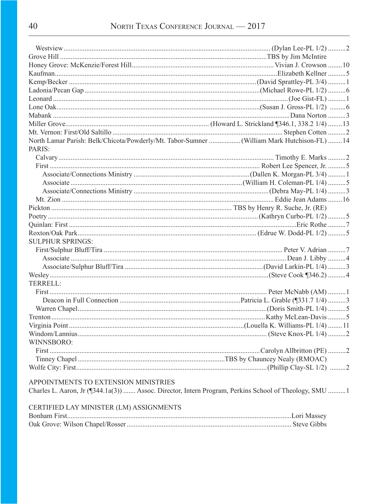| North Lamar Parish: Belk/Chicota/Powderly/Mt. Tabor-Sumner (William Mark Hutchison-FL)  14            |  |
|-------------------------------------------------------------------------------------------------------|--|
| PARIS:                                                                                                |  |
|                                                                                                       |  |
|                                                                                                       |  |
|                                                                                                       |  |
|                                                                                                       |  |
|                                                                                                       |  |
|                                                                                                       |  |
|                                                                                                       |  |
|                                                                                                       |  |
|                                                                                                       |  |
|                                                                                                       |  |
| <b>SULPHUR SPRINGS:</b>                                                                               |  |
|                                                                                                       |  |
|                                                                                                       |  |
|                                                                                                       |  |
|                                                                                                       |  |
| TERRELL:                                                                                              |  |
|                                                                                                       |  |
|                                                                                                       |  |
|                                                                                                       |  |
|                                                                                                       |  |
|                                                                                                       |  |
|                                                                                                       |  |
| WINNSBORO:                                                                                            |  |
|                                                                                                       |  |
|                                                                                                       |  |
|                                                                                                       |  |
|                                                                                                       |  |
| APPOINTMENTS TO EXTENSION MINISTRIES                                                                  |  |
| Charles L. Aaron, Jr (¶344.1a(3))  Assoc. Director, Intern Program, Perkins School of Theology, SMU 1 |  |
|                                                                                                       |  |

| CERTIFIED LAY MINISTER (LM) ASSIGNMENTS |  |
|-----------------------------------------|--|
|                                         |  |
|                                         |  |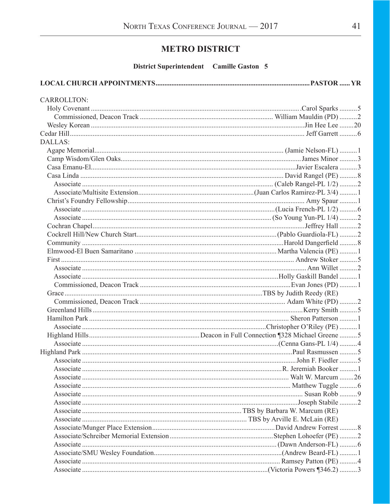# **METRO DISTRICT**

District Superintendent Camille Gaston 5

#### 

| <b>CARROLLTON:</b> |  |
|--------------------|--|
|                    |  |
|                    |  |
|                    |  |
|                    |  |
| DALLAS:            |  |
|                    |  |
|                    |  |
|                    |  |
|                    |  |
|                    |  |
|                    |  |
|                    |  |
|                    |  |
|                    |  |
|                    |  |
|                    |  |
|                    |  |
|                    |  |
|                    |  |
|                    |  |
|                    |  |
|                    |  |
|                    |  |
|                    |  |
|                    |  |
|                    |  |
|                    |  |
|                    |  |
|                    |  |
|                    |  |
|                    |  |
|                    |  |
|                    |  |
|                    |  |
|                    |  |
|                    |  |
|                    |  |
|                    |  |
|                    |  |
|                    |  |
|                    |  |
|                    |  |
|                    |  |
|                    |  |
|                    |  |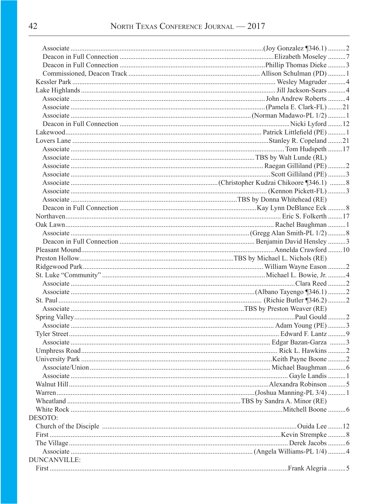| DESOTO:      |  |
|--------------|--|
|              |  |
|              |  |
|              |  |
|              |  |
| DUNCANVILLE: |  |
|              |  |
|              |  |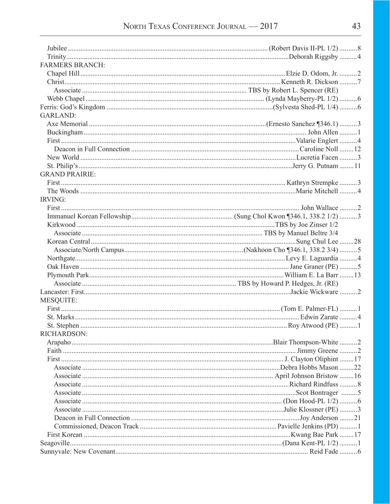| <b>FARMERS BRANCH:</b> |  |
|------------------------|--|
|                        |  |
|                        |  |
|                        |  |
|                        |  |
|                        |  |
| <b>GARLAND:</b>        |  |
|                        |  |
|                        |  |
|                        |  |
|                        |  |
|                        |  |
|                        |  |
| <b>GRAND PRAIRIE:</b>  |  |
|                        |  |
|                        |  |
| <b>IRVING:</b>         |  |
|                        |  |
|                        |  |
|                        |  |
|                        |  |
|                        |  |
|                        |  |
|                        |  |
|                        |  |
|                        |  |
|                        |  |
|                        |  |
| <b>MESQUITE:</b>       |  |
|                        |  |
|                        |  |
|                        |  |
| RICHARDSON:            |  |
|                        |  |
|                        |  |
|                        |  |
|                        |  |
|                        |  |
|                        |  |
|                        |  |
|                        |  |
|                        |  |
|                        |  |
|                        |  |
|                        |  |
|                        |  |
|                        |  |
|                        |  |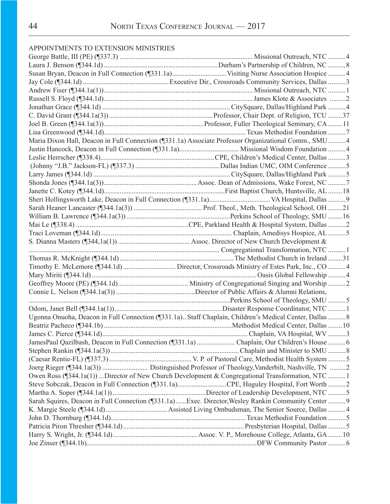## APPOINTMENTS TO EXTENSION MINISTRIES

| Maria Dixon Hall, Deacon in Full Connection (1331.1a) Associate Professor Organizational Comm., SMU 4   |  |
|---------------------------------------------------------------------------------------------------------|--|
|                                                                                                         |  |
|                                                                                                         |  |
|                                                                                                         |  |
|                                                                                                         |  |
|                                                                                                         |  |
|                                                                                                         |  |
|                                                                                                         |  |
|                                                                                                         |  |
|                                                                                                         |  |
|                                                                                                         |  |
|                                                                                                         |  |
|                                                                                                         |  |
|                                                                                                         |  |
|                                                                                                         |  |
|                                                                                                         |  |
|                                                                                                         |  |
|                                                                                                         |  |
|                                                                                                         |  |
|                                                                                                         |  |
|                                                                                                         |  |
| Ugonna Onuoha, Deacon in Full Connection (¶331.1a) Staff Chaplain, Children's Medical Center, Dallas  8 |  |
|                                                                                                         |  |
|                                                                                                         |  |
| JamesPaul Qazilbash, Deacon in Full Connection (¶331.1a) Chaplain, Our Children's House 6               |  |
|                                                                                                         |  |
|                                                                                                         |  |
|                                                                                                         |  |
| Owen Ross (¶344.1a(1)) Director of New Church Development & Congregational Transformation, NTC 1        |  |
| Steve Sobczak, Deacon in Full Connection (¶331.1a)CPE, Huguley Hospital, Fort Worth 2                   |  |
|                                                                                                         |  |
| Sarah Squires, Deacon in Full Connection (¶331.1a)Exec. Director, Wesley Rankin Community Center  9     |  |
|                                                                                                         |  |
|                                                                                                         |  |
|                                                                                                         |  |
|                                                                                                         |  |
|                                                                                                         |  |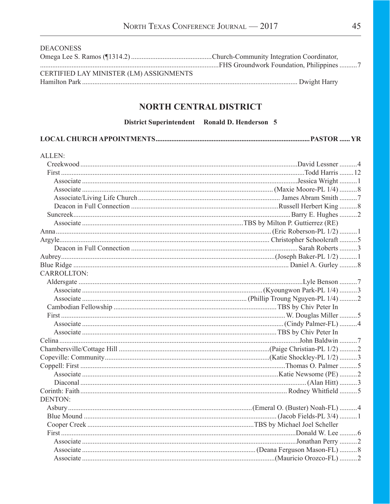| <b>DEACONESS</b>                        |  |
|-----------------------------------------|--|
|                                         |  |
|                                         |  |
| CERTIFIED LAY MINISTER (LM) ASSIGNMENTS |  |
|                                         |  |

# NORTH CENTRAL DISTRICT

District Superintendent Ronald D. Henderson 5

|--|--|

| ALLEN:             |  |
|--------------------|--|
|                    |  |
|                    |  |
|                    |  |
|                    |  |
|                    |  |
|                    |  |
|                    |  |
|                    |  |
|                    |  |
|                    |  |
|                    |  |
|                    |  |
|                    |  |
| <b>CARROLLTON:</b> |  |
|                    |  |
|                    |  |
|                    |  |
|                    |  |
|                    |  |
|                    |  |
|                    |  |
|                    |  |
|                    |  |
|                    |  |
|                    |  |
|                    |  |
|                    |  |
|                    |  |
| <b>DENTON:</b>     |  |
|                    |  |
|                    |  |
|                    |  |
|                    |  |
|                    |  |
|                    |  |
|                    |  |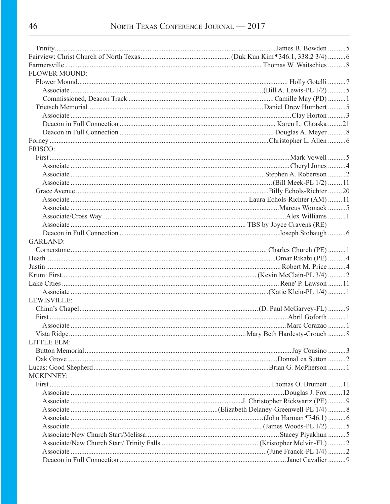| <b>FLOWER MOUND:</b> |  |
|----------------------|--|
|                      |  |
|                      |  |
|                      |  |
|                      |  |
|                      |  |
|                      |  |
|                      |  |
|                      |  |
| FRISCO:              |  |
|                      |  |
|                      |  |
|                      |  |
|                      |  |
|                      |  |
|                      |  |
|                      |  |
|                      |  |
|                      |  |
|                      |  |
| <b>GARLAND:</b>      |  |
|                      |  |
|                      |  |
|                      |  |
|                      |  |
|                      |  |
|                      |  |
|                      |  |
| LEWISVILLE:          |  |
|                      |  |
|                      |  |
|                      |  |
|                      |  |
| <b>LITTLE ELM:</b>   |  |
|                      |  |
|                      |  |
|                      |  |
| <b>MCKINNEY:</b>     |  |
|                      |  |
|                      |  |
|                      |  |
|                      |  |
|                      |  |
|                      |  |
|                      |  |
|                      |  |
|                      |  |
|                      |  |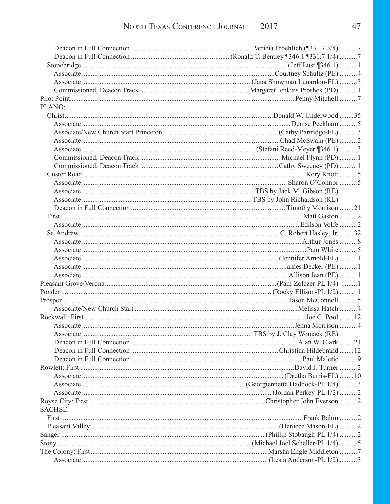| PLANO:         |  |
|----------------|--|
|                |  |
|                |  |
|                |  |
|                |  |
|                |  |
|                |  |
|                |  |
|                |  |
|                |  |
|                |  |
|                |  |
|                |  |
|                |  |
|                |  |
|                |  |
|                |  |
|                |  |
|                |  |
|                |  |
|                |  |
|                |  |
|                |  |
|                |  |
|                |  |
|                |  |
|                |  |
|                |  |
|                |  |
|                |  |
|                |  |
|                |  |
|                |  |
|                |  |
|                |  |
|                |  |
|                |  |
| <b>SACHSE:</b> |  |
|                |  |
|                |  |
|                |  |
|                |  |
|                |  |
|                |  |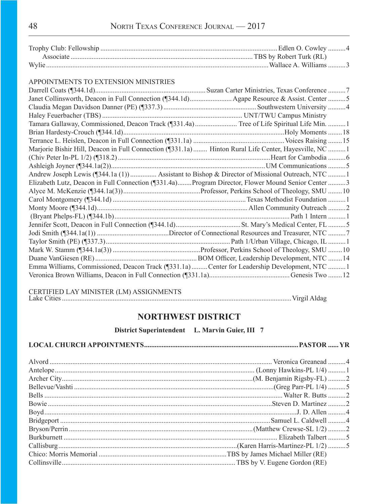### APPOINTMENTS TO EXTENSION MINISTRIES

| Tamara Gallaway, Commissioned, Deacon Track (¶331.4a) Tree of Life Spiritual Life Min. 1              |  |
|-------------------------------------------------------------------------------------------------------|--|
|                                                                                                       |  |
|                                                                                                       |  |
| Marjorie Bishir Hill, Deacon in Full Connection (¶331.1a)  Hinton Rural Life Center, Hayesville, NC 1 |  |
|                                                                                                       |  |
|                                                                                                       |  |
| Andrew Joseph Lewis (¶344.1a (1))  Assistant to Bishop & Director of Missional Outreach, NTC 1        |  |
| Elizabeth Lutz, Deacon in Full Connection (¶331.4a)Program Director, Flower Mound Senior Center 3     |  |
|                                                                                                       |  |
|                                                                                                       |  |
|                                                                                                       |  |
|                                                                                                       |  |
|                                                                                                       |  |
|                                                                                                       |  |
|                                                                                                       |  |
|                                                                                                       |  |
|                                                                                                       |  |
| Emma Williams, Commissioned, Deacon Track (¶331.1a)  Center for Leadership Development, NTC 1         |  |
|                                                                                                       |  |
|                                                                                                       |  |

CERTIFIED LAY MINISTER (LM) ASSIGNMENTS

Lake Cities...................................................................................................................................Virgil Aldag

# **NORTHWEST DISTRICT**

**District Superintendent L. Marvin Guier, III 7**

|--|--|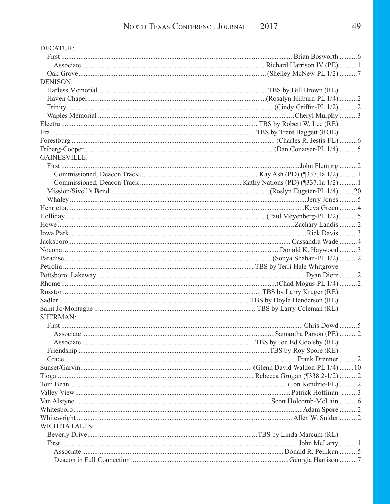| <b>DECATUR:</b>       |  |
|-----------------------|--|
|                       |  |
|                       |  |
|                       |  |
| <b>DENISON:</b>       |  |
|                       |  |
|                       |  |
|                       |  |
|                       |  |
|                       |  |
|                       |  |
|                       |  |
|                       |  |
| <b>GAINESVILLE:</b>   |  |
|                       |  |
|                       |  |
|                       |  |
|                       |  |
|                       |  |
|                       |  |
|                       |  |
|                       |  |
|                       |  |
|                       |  |
|                       |  |
|                       |  |
|                       |  |
|                       |  |
|                       |  |
|                       |  |
|                       |  |
|                       |  |
| <b>SHERMAN:</b>       |  |
|                       |  |
|                       |  |
|                       |  |
|                       |  |
|                       |  |
|                       |  |
|                       |  |
|                       |  |
|                       |  |
|                       |  |
|                       |  |
|                       |  |
|                       |  |
| <b>WICHITA FALLS:</b> |  |
|                       |  |
|                       |  |
|                       |  |
|                       |  |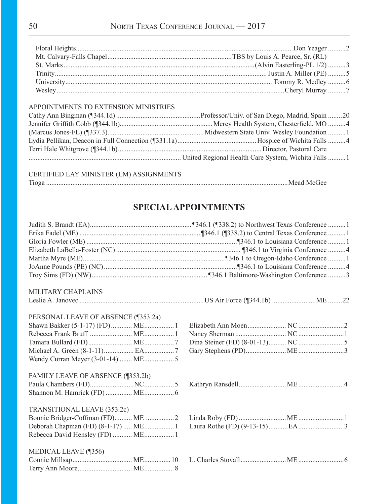### APPOINTMENTS TO EXTENSION MINISTRIES

| United Regional Health Care System, Wichita Falls  1 |
|------------------------------------------------------|

### CERTIFIED LAY MINISTER (LM) ASSIGNMENTS

| m. |  |
|----|--|
|----|--|

# **SPECIAL APPOINTMENTS**

| MILITARY CHAPLAINS                  |  |  |                                       |  |  |  |
|-------------------------------------|--|--|---------------------------------------|--|--|--|
|                                     |  |  |                                       |  |  |  |
| PERSONAL LEAVE OF ABSENCE (¶353.2a) |  |  |                                       |  |  |  |
|                                     |  |  |                                       |  |  |  |
|                                     |  |  |                                       |  |  |  |
|                                     |  |  |                                       |  |  |  |
|                                     |  |  |                                       |  |  |  |
|                                     |  |  |                                       |  |  |  |
| FAMILY LEAVE OF ABSENCE (¶353.2b)   |  |  |                                       |  |  |  |
|                                     |  |  |                                       |  |  |  |
|                                     |  |  |                                       |  |  |  |
| TRANSITIONAL LEAVE (353.2c)         |  |  |                                       |  |  |  |
|                                     |  |  | $P(1, 0.00, 0.00)$ $P(1, 0.00, 0.00)$ |  |  |  |

| $\mathcal{L}$ . The set of $\mathcal{L}$ is the set of $\mathcal{L}$ and $\mathcal{L}$ is the set of $\mathcal{L}$ |  |  |
|--------------------------------------------------------------------------------------------------------------------|--|--|

### MEDICAL LEAVE (¶356)